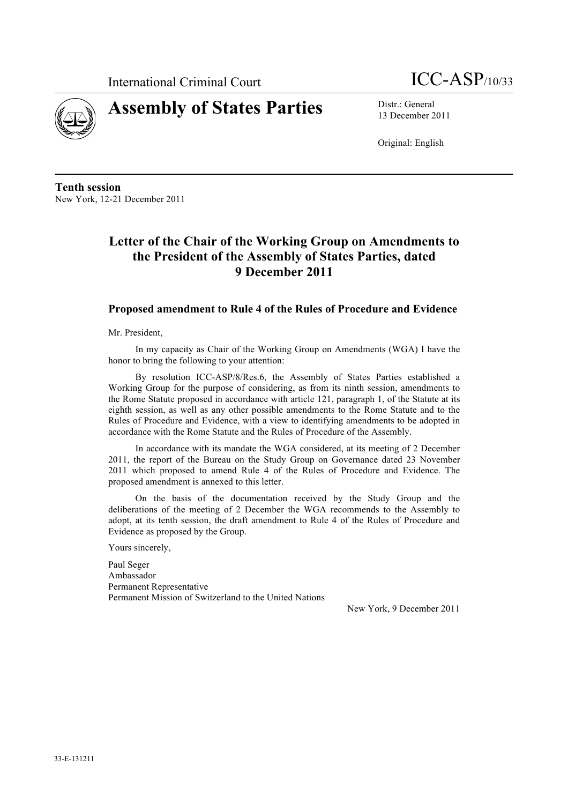



13 December 2011

Original: English

**Tenth session** New York, 12-21 December 2011

# **Letter of the Chair of the Working Group on Amendments to the President of the Assembly of States Parties, dated 9 December 2011**

#### **Proposed amendment to Rule 4 of the Rules of Procedure and Evidence**

Mr. President,

In my capacity as Chair of the Working Group on Amendments (WGA) I have the honor to bring the following to your attention:

By resolution ICC-ASP/8/Res.6, the Assembly of States Parties established a Working Group for the purpose of considering, as from its ninth session, amendments to the Rome Statute proposed in accordance with article 121, paragraph 1, of the Statute at its eighth session, as well as any other possible amendments to the Rome Statute and to the Rules of Procedure and Evidence, with a view to identifying amendments to be adopted in accordance with the Rome Statute and the Rules of Procedure of the Assembly.

In accordance with its mandate the WGA considered, at its meeting of 2 December 2011, the report of the Bureau on the Study Group on Governance dated 23 November 2011 which proposed to amend Rule 4 of the Rules of Procedure and Evidence. The proposed amendment is annexed to this letter.

On the basis of the documentation received by the Study Group and the deliberations of the meeting of 2 December the WGA recommends to the Assembly to adopt, at its tenth session, the draft amendment to Rule 4 of the Rules of Procedure and Evidence as proposed by the Group.

Yours sincerely,

Paul Seger Ambassador Permanent Representative Permanent Mission of Switzerland to the United Nations

New York, 9 December 2011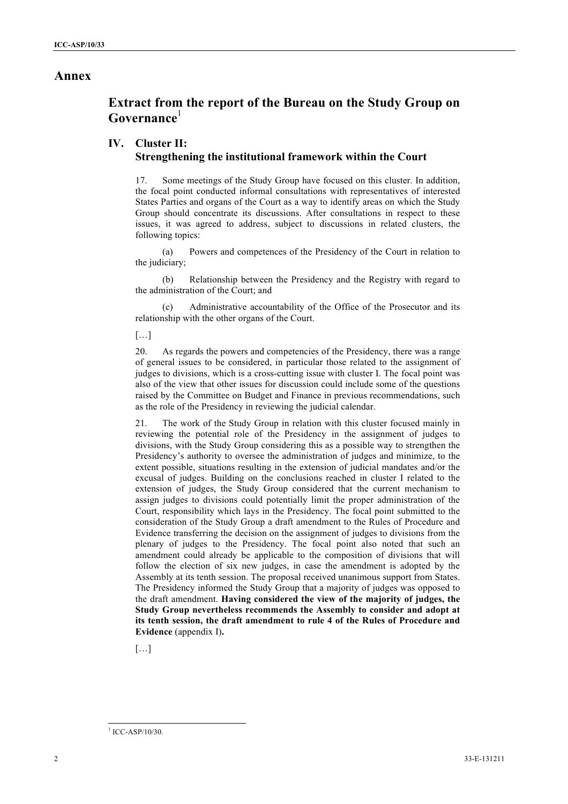### **Annex**

# **Extract from the report of the Bureau on the Study Group on Governance**<sup>1</sup>

#### **IV. Cluster II: Strengthening the institutional framework within the Court**

17. Some meetings of the Study Group have focused on this cluster. In addition, the focal point conducted informal consultations with representatives of interested States Parties and organs of the Court as a way to identify areas on which the Study Group should concentrate its discussions. After consultations in respect to these issues, it was agreed to address, subject to discussions in related clusters, the following topics:

(a) Powers and competences of the Presidency of the Court in relation to the judiciary;

(b) Relationship between the Presidency and the Registry with regard to the administration of the Court; and

(c) Administrative accountability of the Office of the Prosecutor and its relationship with the other organs of the Court.

[…]

20. As regards the powers and competencies of the Presidency, there was a range of general issues to be considered, in particular those related to the assignment of judges to divisions, which is a cross-cutting issue with cluster I. The focal point was also of the view that other issues for discussion could include some of the questions raised by the Committee on Budget and Finance in previous recommendations, such as the role of the Presidency in reviewing the judicial calendar.

21. The work of the Study Group in relation with this cluster focused mainly in reviewing the potential role of the Presidency in the assignment of judges to divisions, with the Study Group considering this as a possible way to strengthen the Presidency's authority to oversee the administration of judges and minimize, to the extent possible, situations resulting in the extension of judicial mandates and/or the excusal of judges. Building on the conclusions reached in cluster I related to the extension of judges, the Study Group considered that the current mechanism to assign judges to divisions could potentially limit the proper administration of the Court, responsibility which lays in the Presidency. The focal point submitted to the consideration of the Study Group a draft amendment to the Rules of Procedure and Evidence transferring the decision on the assignment of judges to divisions from the plenary of judges to the Presidency. The focal point also noted that such an amendment could already be applicable to the composition of divisions that will follow the election of six new judges, in case the amendment is adopted by the Assembly at its tenth session. The proposal received unanimous support from States. The Presidency informed the Study Group that a majority of judges was opposed to the draft amendment. **Having considered the view of the majority of judges, the Study Group nevertheless recommends the Assembly to consider and adopt at its tenth session, the draft amendment to rule 4 of the Rules of Procedure and Evidence** (appendix I)**.**

[…]

-

 $1$  ICC-ASP/10/30.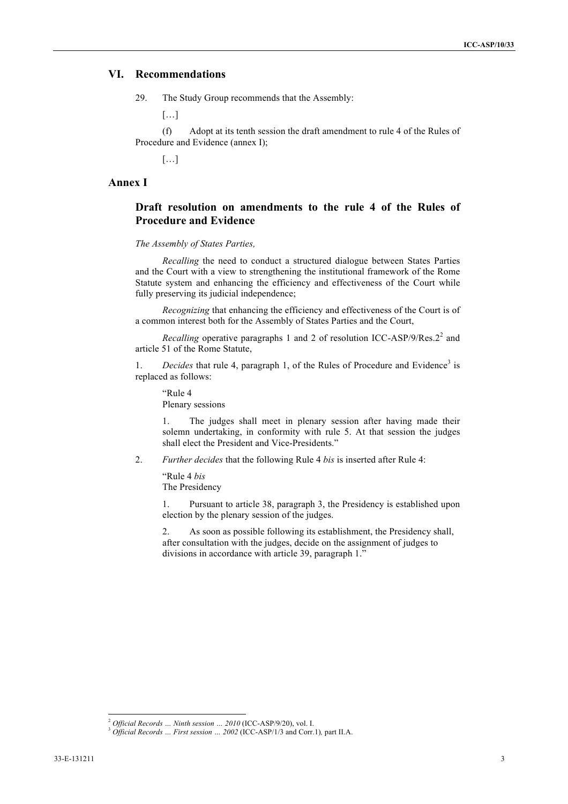#### **VI. Recommendations**

29. The Study Group recommends that the Assembly:

 $\left[\ldots\right]$ 

(f) Adopt at its tenth session the draft amendment to rule 4 of the Rules of Procedure and Evidence (annex I);

[…]

#### **Annex I**

### **Draft resolution on amendments to the rule 4 of the Rules of Procedure and Evidence**

#### *The Assembly of States Parties,*

*Recalling* the need to conduct a structured dialogue between States Parties and the Court with a view to strengthening the institutional framework of the Rome Statute system and enhancing the efficiency and effectiveness of the Court while fully preserving its judicial independence;

*Recognizing* that enhancing the efficiency and effectiveness of the Court is of a common interest both for the Assembly of States Parties and the Court,

*Recalling* operative paragraphs 1 and 2 of resolution ICC-ASP/9/Res. $2^2$  and article 51 of the Rome Statute,

1. *Decides* that rule 4, paragraph 1, of the Rules of Procedure and Evidence<sup>3</sup> is replaced as follows:

"Rule 4 Plenary sessions

The judges shall meet in plenary session after having made their solemn undertaking, in conformity with rule 5. At that session the judges shall elect the President and Vice-Presidents."

2. *Further decides* that the following Rule 4 *bis* is inserted after Rule 4:

"Rule 4 *bis* The Presidency

1. Pursuant to article 38, paragraph 3, the Presidency is established upon election by the plenary session of the judges.

2. As soon as possible following its establishment, the Presidency shall, after consultation with the judges, decide on the assignment of judges to divisions in accordance with article 39, paragraph 1."

-

<sup>2</sup> *Official Records … Ninth session … 2010* (ICC-ASP/9/20), vol. I.

<sup>&</sup>lt;sup>3</sup> Official Records ... First session ... 2002 (ICC-ASP/1/3 and Corr.1), part II.A.